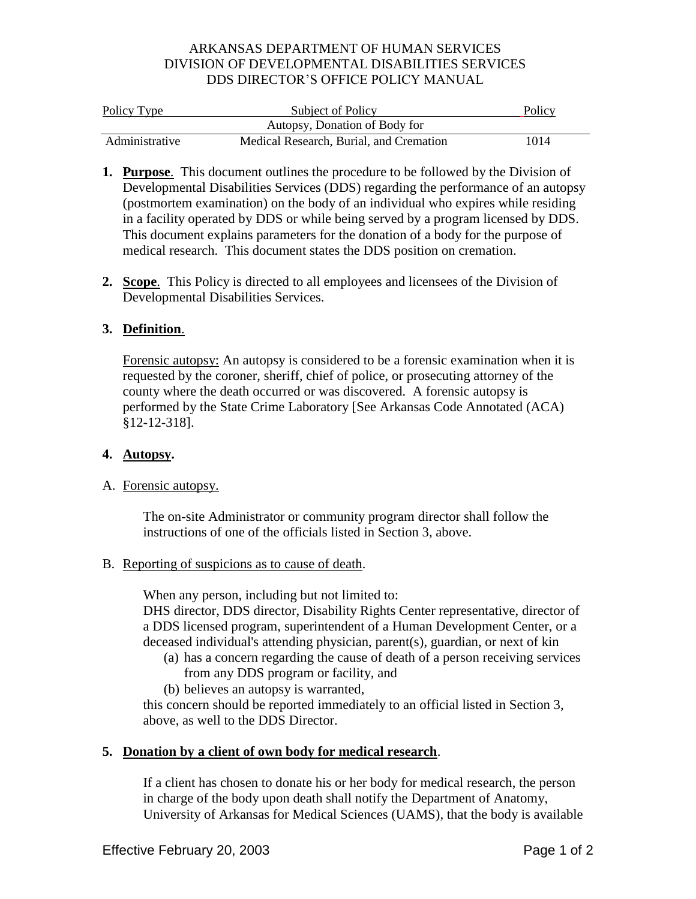## ARKANSAS DEPARTMENT OF HUMAN SERVICES DIVISION OF DEVELOPMENTAL DISABILITIES SERVICES DDS DIRECTOR'S OFFICE POLICY MANUAL

| Policy Type    | Subject of Policy                       | Policy |
|----------------|-----------------------------------------|--------|
|                | Autopsy, Donation of Body for           |        |
| Administrative | Medical Research, Burial, and Cremation | 1014   |

- **1. Purpose**. This document outlines the procedure to be followed by the Division of Developmental Disabilities Services (DDS) regarding the performance of an autopsy (postmortem examination) on the body of an individual who expires while residing in a facility operated by DDS or while being served by a program licensed by DDS. This document explains parameters for the donation of a body for the purpose of medical research. This document states the DDS position on cremation.
- **2. Scope**. This Policy is directed to all employees and licensees of the Division of Developmental Disabilities Services.

# **3. Definition**.

Forensic autopsy: An autopsy is considered to be a forensic examination when it is requested by the coroner, sheriff, chief of police, or prosecuting attorney of the county where the death occurred or was discovered. A forensic autopsy is performed by the State Crime Laboratory [See Arkansas Code Annotated (ACA) §12-12-318].

### **4. Autopsy.**

# A. Forensic autopsy.

The on-site Administrator or community program director shall follow the instructions of one of the officials listed in Section 3, above.

### B. Reporting of suspicions as to cause of death.

When any person, including but not limited to:

DHS director, DDS director, Disability Rights Center representative, director of a DDS licensed program, superintendent of a Human Development Center, or a deceased individual's attending physician, parent(s), guardian, or next of kin

- (a) has a concern regarding the cause of death of a person receiving services from any DDS program or facility, and
- (b) believes an autopsy is warranted,

this concern should be reported immediately to an official listed in Section 3, above, as well to the DDS Director.

# **5. Donation by a client of own body for medical research**.

If a client has chosen to donate his or her body for medical research, the person in charge of the body upon death shall notify the Department of Anatomy, University of Arkansas for Medical Sciences (UAMS), that the body is available